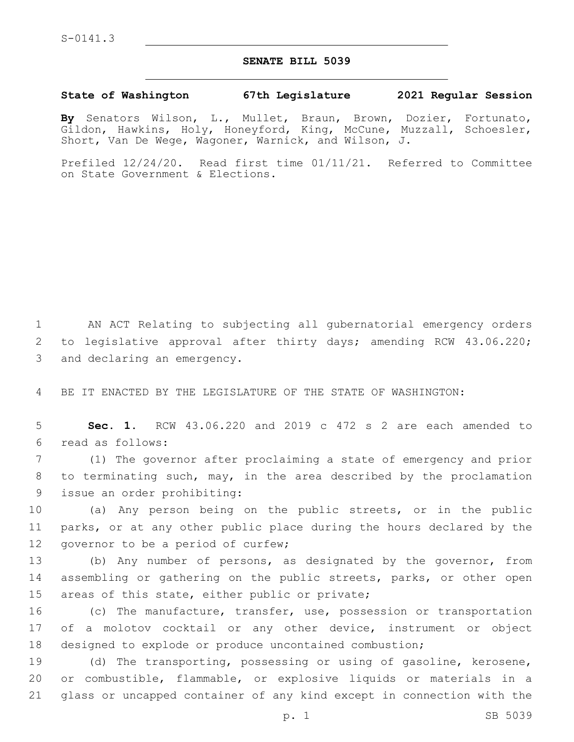## **SENATE BILL 5039**

## **State of Washington 67th Legislature 2021 Regular Session**

**By** Senators Wilson, L., Mullet, Braun, Brown, Dozier, Fortunato, Gildon, Hawkins, Holy, Honeyford, King, McCune, Muzzall, Schoesler, Short, Van De Wege, Wagoner, Warnick, and Wilson, J.

Prefiled 12/24/20. Read first time 01/11/21. Referred to Committee on State Government & Elections.

1 AN ACT Relating to subjecting all gubernatorial emergency orders 2 to legislative approval after thirty days; amending RCW 43.06.220; 3 and declaring an emergency.

4 BE IT ENACTED BY THE LEGISLATURE OF THE STATE OF WASHINGTON:

5 **Sec. 1.** RCW 43.06.220 and 2019 c 472 s 2 are each amended to read as follows:6

7 (1) The governor after proclaiming a state of emergency and prior 8 to terminating such, may, in the area described by the proclamation 9 issue an order prohibiting:

10 (a) Any person being on the public streets, or in the public 11 parks, or at any other public place during the hours declared by the 12 governor to be a period of curfew;

13 (b) Any number of persons, as designated by the governor, from 14 assembling or gathering on the public streets, parks, or other open 15 areas of this state, either public or private;

16 (c) The manufacture, transfer, use, possession or transportation 17 of a molotov cocktail or any other device, instrument or object 18 designed to explode or produce uncontained combustion;

19 (d) The transporting, possessing or using of gasoline, kerosene, 20 or combustible, flammable, or explosive liquids or materials in a 21 glass or uncapped container of any kind except in connection with the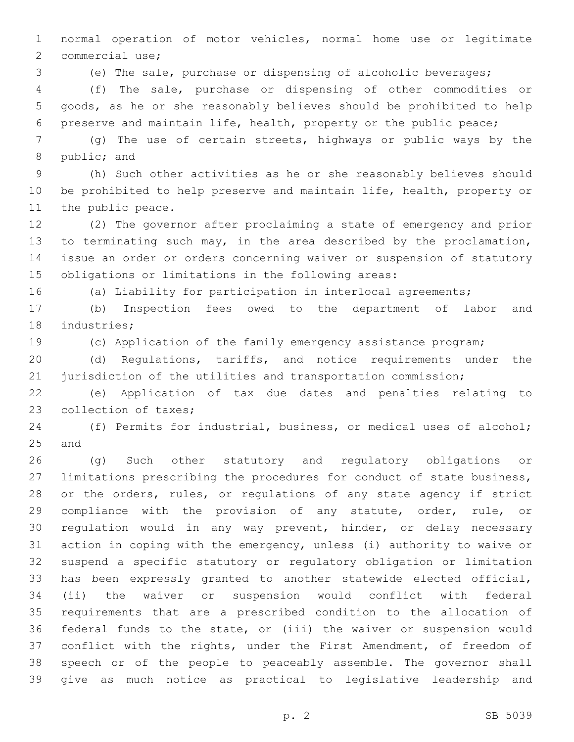normal operation of motor vehicles, normal home use or legitimate 2 commercial use;

(e) The sale, purchase or dispensing of alcoholic beverages;

 (f) The sale, purchase or dispensing of other commodities or goods, as he or she reasonably believes should be prohibited to help preserve and maintain life, health, property or the public peace;

 (g) The use of certain streets, highways or public ways by the 8 public; and

 (h) Such other activities as he or she reasonably believes should be prohibited to help preserve and maintain life, health, property or 11 the public peace.

 (2) The governor after proclaiming a state of emergency and prior to terminating such may, in the area described by the proclamation, issue an order or orders concerning waiver or suspension of statutory obligations or limitations in the following areas:

(a) Liability for participation in interlocal agreements;

 (b) Inspection fees owed to the department of labor and 18 industries;

(c) Application of the family emergency assistance program;

 (d) Regulations, tariffs, and notice requirements under the 21 jurisdiction of the utilities and transportation commission;

 (e) Application of tax due dates and penalties relating to 23 collection of taxes;

 (f) Permits for industrial, business, or medical uses of alcohol; 25 and

 (g) Such other statutory and regulatory obligations or limitations prescribing the procedures for conduct of state business, or the orders, rules, or regulations of any state agency if strict compliance with the provision of any statute, order, rule, or regulation would in any way prevent, hinder, or delay necessary action in coping with the emergency, unless (i) authority to waive or suspend a specific statutory or regulatory obligation or limitation has been expressly granted to another statewide elected official, (ii) the waiver or suspension would conflict with federal requirements that are a prescribed condition to the allocation of federal funds to the state, or (iii) the waiver or suspension would conflict with the rights, under the First Amendment, of freedom of speech or of the people to peaceably assemble. The governor shall give as much notice as practical to legislative leadership and